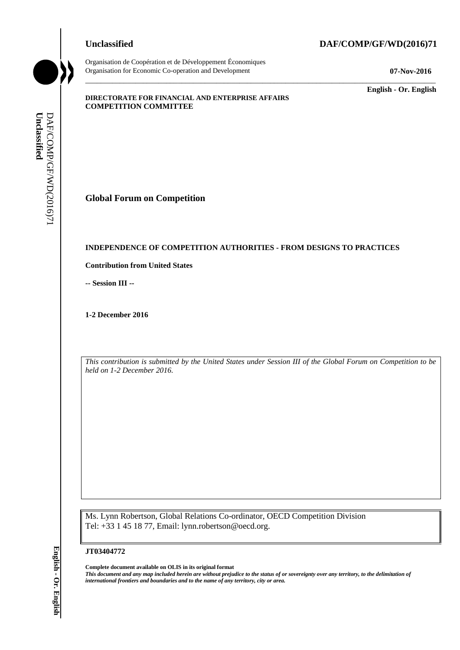# **Unclassified DAF/COMP/GF/WD(2016)71**

\_\_\_\_\_\_\_\_\_\_\_\_\_\_\_\_\_\_\_\_\_\_\_\_\_\_\_\_\_\_\_\_\_\_\_\_\_\_\_\_\_\_\_\_\_\_\_\_\_\_\_\_\_\_\_\_\_\_\_\_\_\_\_\_\_\_\_\_\_\_\_\_\_\_\_\_\_\_\_\_\_\_\_\_\_\_\_\_\_\_\_

Organisation de Coopération et de Développement Économiques Organisation for Economic Co-operation and Development **07-Nov-2016**

\_\_\_\_\_\_\_\_\_\_\_\_\_ **English - Or. English**

#### **DIRECTORATE FOR FINANCIAL AND ENTERPRISE AFFAIRS COMPETITION COMMITTEE**

**Global Forum on Competition**

#### **INDEPENDENCE OF COMPETITION AUTHORITIES - FROM DESIGNS TO PRACTICES**

**Contribution from United States**

**-- Session III --**

**1-2 December 2016**

*This contribution is submitted by the United States under Session III of the Global Forum on Competition to be held on 1-2 December 2016.*

Ms. Lynn Robertson, Global Relations Co-ordinator, OECD Competition Division Tel: +33 1 45 18 77, Email: lynn.robertson@oecd.org.

#### **JT03404772**

**Complete document available on OLIS in its original format** *This document and any map included herein are without prejudice to the status of or sovereignty over any territory, to the delimitation of international frontiers and boundaries and to the name of any territory, city or area.* **Unclassified** DAF/COMP/GF/WD(2016)71 **English - Or. English**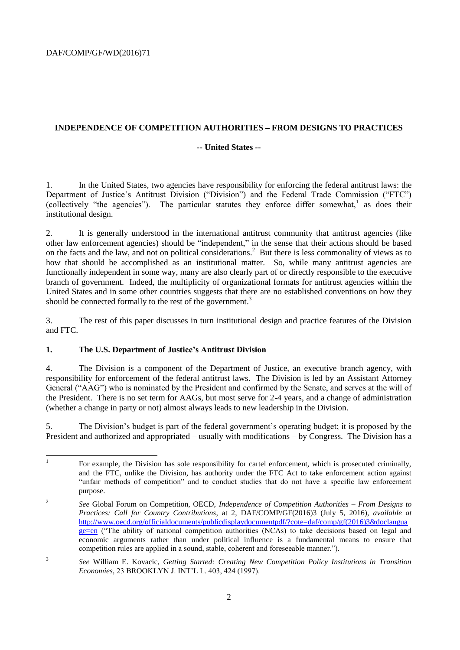# **INDEPENDENCE OF COMPETITION AUTHORITIES – FROM DESIGNS TO PRACTICES**

#### **-- United States --**

1. In the United States, two agencies have responsibility for enforcing the federal antitrust laws: the Department of Justice's Antitrust Division ("Division") and the Federal Trade Commission ("FTC") (collectively "the agencies"). The particular statutes they enforce differ somewhat,<sup>1</sup> as does their institutional design.

2. It is generally understood in the international antitrust community that antitrust agencies (like other law enforcement agencies) should be "independent," in the sense that their actions should be based on the facts and the law, and not on political considerations.<sup>2</sup> But there is less commonality of views as to how that should be accomplished as an institutional matter. So, while many antitrust agencies are functionally independent in some way, many are also clearly part of or directly responsible to the executive branch of government. Indeed, the multiplicity of organizational formats for antitrust agencies within the United States and in some other countries suggests that there are no established conventions on how they should be connected formally to the rest of the government.<sup>3</sup>

3. The rest of this paper discusses in turn institutional design and practice features of the Division and FTC.

#### **1. The U.S. Department of Justice's Antitrust Division**

4. The Division is a component of the Department of Justice, an executive branch agency, with responsibility for enforcement of the federal antitrust laws. The Division is led by an Assistant Attorney General ("AAG") who is nominated by the President and confirmed by the Senate, and serves at the will of the President. There is no set term for AAGs, but most serve for 2-4 years, and a change of administration (whether a change in party or not) almost always leads to new leadership in the Division.

5. The Division's budget is part of the federal government's operating budget; it is proposed by the President and authorized and appropriated – usually with modifications – by Congress. The Division has a

<sup>|&</sup>lt;br>|<br>| For example, the Division has sole responsibility for cartel enforcement, which is prosecuted criminally, and the FTC, unlike the Division, has authority under the FTC Act to take enforcement action against "unfair methods of competition" and to conduct studies that do not have a specific law enforcement purpose.

<sup>2</sup> *See* Global Forum on Competition, OECD, *Independence of Competition Authorities – From Designs to Practices: Call for Country Contributions*, at 2, DAF/COMP/GF(2016)3 (July 5, 2016), *available at* [http://www.oecd.org/officialdocuments/publicdisplaydocumentpdf/?cote=daf/comp/gf\(2016\)3&doclangua](http://www.oecd.org/officialdocuments/publicdisplaydocumentpdf/?cote=daf/comp/gf(2016)3&doclanguage=en) [ge=en](http://www.oecd.org/officialdocuments/publicdisplaydocumentpdf/?cote=daf/comp/gf(2016)3&doclanguage=en) ("The ability of national competition authorities (NCAs) to take decisions based on legal and economic arguments rather than under political influence is a fundamental means to ensure that competition rules are applied in a sound, stable, coherent and foreseeable manner.").

<sup>3</sup> *See* William E. Kovacic, *Getting Started: Creating New Competition Policy Institutions in Transition Economies*, 23 BROOKLYN J. INT'L L. 403, 424 (1997).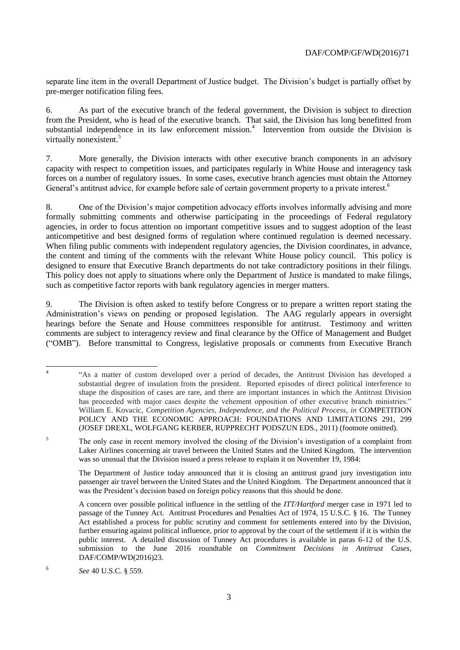separate line item in the overall Department of Justice budget. The Division's budget is partially offset by pre-merger notification filing fees.

6. As part of the executive branch of the federal government, the Division is subject to direction from the President, who is head of the executive branch. That said, the Division has long benefitted from substantial independence in its law enforcement mission.<sup>4</sup> Intervention from outside the Division is virtually nonexistent.<sup>5</sup>

7. More generally, the Division interacts with other executive branch components in an advisory capacity with respect to competition issues, and participates regularly in White House and interagency task forces on a number of regulatory issues. In some cases, executive branch agencies must obtain the Attorney General's antitrust advice, for example before sale of certain government property to a private interest.<sup>6</sup>

8. One of the Division's major competition advocacy efforts involves informally advising and more formally submitting comments and otherwise participating in the proceedings of Federal regulatory agencies, in order to focus attention on important competitive issues and to suggest adoption of the least anticompetitive and best designed forms of regulation where continued regulation is deemed necessary. When filing public comments with independent regulatory agencies, the Division coordinates, in advance, the content and timing of the comments with the relevant White House policy council. This policy is designed to ensure that Executive Branch departments do not take contradictory positions in their filings. This policy does not apply to situations where only the Department of Justice is mandated to make filings, such as competitive factor reports with bank regulatory agencies in merger matters.

9. The Division is often asked to testify before Congress or to prepare a written report stating the Administration's views on pending or proposed legislation. The AAG regularly appears in oversight hearings before the Senate and House committees responsible for antitrust. Testimony and written comments are subject to interagency review and final clearance by the Office of Management and Budget ("OMB"). Before transmittal to Congress, legislative proposals or comments from Executive Branch

<sup>5</sup> The only case in recent memory involved the closing of the Division's investigation of a complaint from Laker Airlines concerning air travel between the United States and the United Kingdom. The intervention was so unusual that the Division issued a press release to explain it on November 19, 1984:

The Department of Justice today announced that it is closing an antitrust grand jury investigation into passenger air travel between the United States and the United Kingdom. The Department announced that it was the President's decision based on foreign policy reasons that this should be done.

 $\frac{1}{4}$ "As a matter of custom developed over a period of decades, the Antitrust Division has developed a substantial degree of insulation from the president. Reported episodes of direct political interference to shape the disposition of cases are rare, and there are important instances in which the Antitrust Division has proceeded with major cases despite the vehement opposition of other executive branch ministries." William E. Kovacic, *Competition Agencies, Independence, and the Political Process*, *in* COMPETITION POLICY AND THE ECONOMIC APPROACH: FOUNDATIONS AND LIMITATIONS 291, 299 (JOSEF DREXL, WOLFGANG KERBER, RUPPRECHT PODSZUN EDS., 2011) (footnote omitted)*.*

A concern over possible political influence in the settling of the *ITT/Hartford* merger case in 1971 led to passage of the Tunney Act. Antitrust Procedures and Penalties Act of 1974, 15 U.S.C. § 16. The Tunney Act established a process for public scrutiny and comment for settlements entered into by the Division, further ensuring against political influence, prior to approval by the court of the settlement if it is within the public interest. A detailed discussion of Tunney Act procedures is available in paras 6-12 of the U.S. submission to the June 2016 roundtable on *Commitment Decisions in Antitrust Cases*, DAF/COMP/WD(2016)23.

<sup>6</sup> *See* 40 U.S.C. § 559.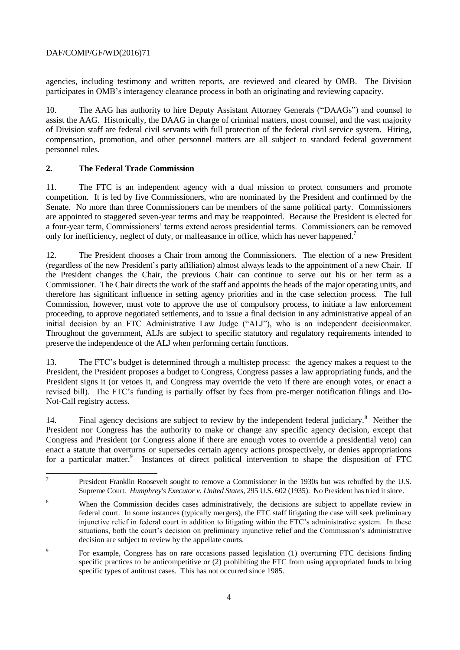# DAF/COMP/GF/WD(2016)71

agencies, including testimony and written reports, are reviewed and cleared by OMB. The Division participates in OMB's interagency clearance process in both an originating and reviewing capacity.

10. The AAG has authority to hire Deputy Assistant Attorney Generals ("DAAGs") and counsel to assist the AAG. Historically, the DAAG in charge of criminal matters, most counsel, and the vast majority of Division staff are federal civil servants with full protection of the federal civil service system. Hiring, compensation, promotion, and other personnel matters are all subject to standard federal government personnel rules.

### **2. The Federal Trade Commission**

11. The FTC is an independent agency with a dual mission to protect consumers and promote competition. It is led by five Commissioners, who are nominated by the President and confirmed by the Senate. No more than three Commissioners can be members of the same political party. Commissioners are appointed to staggered seven-year terms and may be reappointed. Because the President is elected for a four-year term, Commissioners' terms extend across presidential terms. Commissioners can be removed only for inefficiency, neglect of duty, or malfeasance in office, which has never happened.<sup>7</sup>

12. The President chooses a Chair from among the Commissioners. The election of a new President (regardless of the new President's party affiliation) almost always leads to the appointment of a new Chair. If the President changes the Chair, the previous Chair can continue to serve out his or her term as a Commissioner. The Chair directs the work of the staff and appoints the heads of the major operating units, and therefore has significant influence in setting agency priorities and in the case selection process. The full Commission, however, must vote to approve the use of compulsory process, to initiate a law enforcement proceeding, to approve negotiated settlements, and to issue a final decision in any administrative appeal of an initial decision by an FTC Administrative Law Judge ("ALJ"), who is an independent decisionmaker. Throughout the government, ALJs are subject to specific statutory and regulatory requirements intended to preserve the independence of the ALJ when performing certain functions.

13. The FTC's budget is determined through a multistep process: the agency makes a request to the President, the President proposes a budget to Congress, Congress passes a law appropriating funds, and the President signs it (or vetoes it, and Congress may override the veto if there are enough votes, or enact a revised bill). The FTC's funding is partially offset by fees from pre-merger notification filings and Do-Not-Call registry access.

14. Final agency decisions are subject to review by the independent federal judiciary.<sup>8</sup> Neither the President nor Congress has the authority to make or change any specific agency decision, except that Congress and President (or Congress alone if there are enough votes to override a presidential veto) can enact a statute that overturns or supersedes certain agency actions prospectively, or denies appropriations for a particular matter.<sup>9</sup> Instances of direct political intervention to shape the disposition of FTC

<sup>-&</sup>lt;br>7 President Franklin Roosevelt sought to remove a Commissioner in the 1930s but was rebuffed by the U.S. Supreme Court. *Humphrey's Executor v. United States*, 295 U.S. 602 (1935). No President has tried it since.

<sup>8</sup> When the Commission decides cases administratively, the decisions are subject to appellate review in federal court. In some instances (typically mergers), the FTC staff litigating the case will seek preliminary injunctive relief in federal court in addition to litigating within the FTC's administrative system. In these situations, both the court's decision on preliminary injunctive relief and the Commission's administrative decision are subject to review by the appellate courts.

<sup>9</sup> For example, Congress has on rare occasions passed legislation (1) overturning FTC decisions finding specific practices to be anticompetitive or (2) prohibiting the FTC from using appropriated funds to bring specific types of antitrust cases. This has not occurred since 1985.